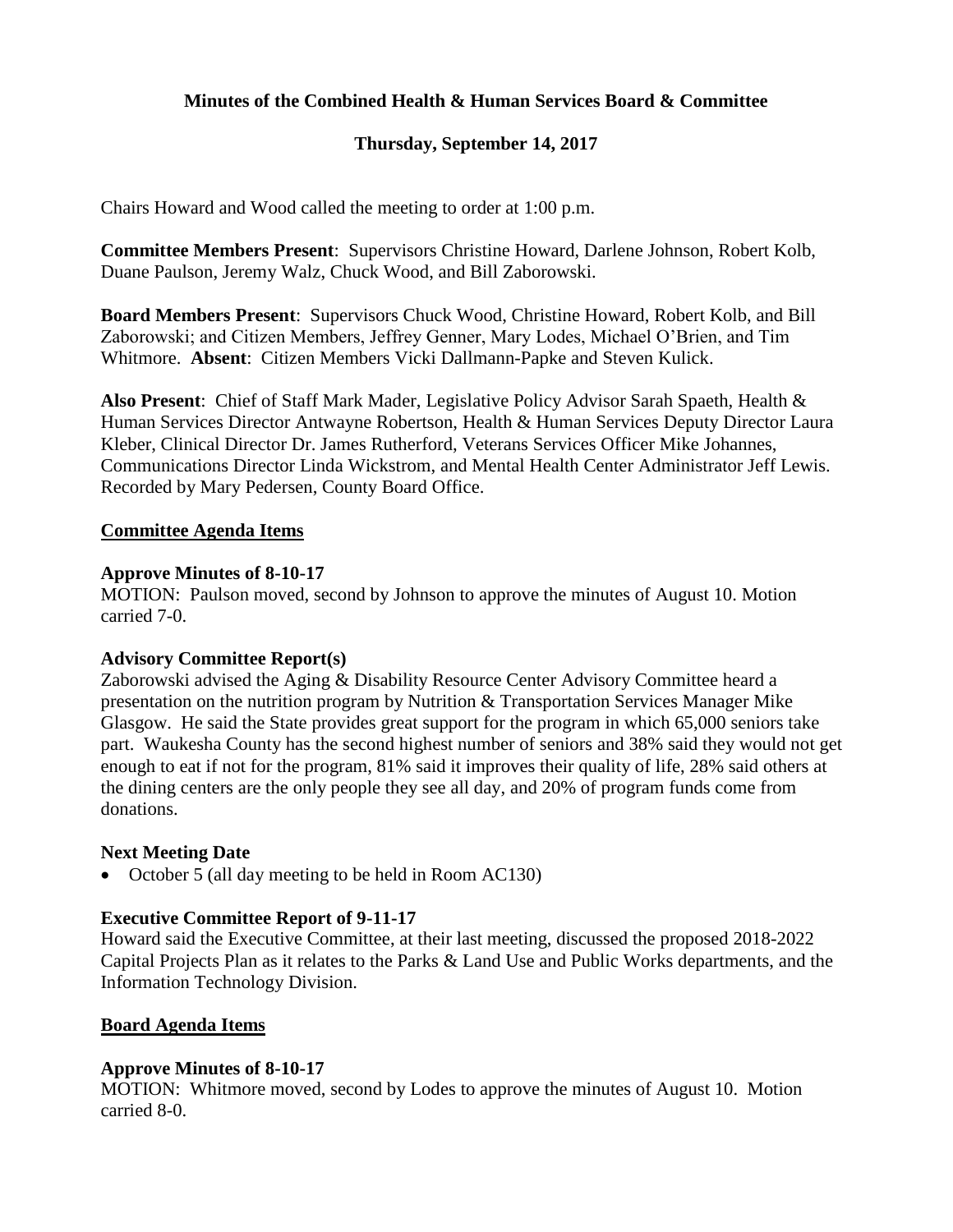## **Minutes of the Combined Health & Human Services Board & Committee**

# **Thursday, September 14, 2017**

Chairs Howard and Wood called the meeting to order at 1:00 p.m.

**Committee Members Present**: Supervisors Christine Howard, Darlene Johnson, Robert Kolb, Duane Paulson, Jeremy Walz, Chuck Wood, and Bill Zaborowski.

**Board Members Present**: Supervisors Chuck Wood, Christine Howard, Robert Kolb, and Bill Zaborowski; and Citizen Members, Jeffrey Genner, Mary Lodes, Michael O'Brien, and Tim Whitmore. **Absent**: Citizen Members Vicki Dallmann-Papke and Steven Kulick.

**Also Present**: Chief of Staff Mark Mader, Legislative Policy Advisor Sarah Spaeth, Health & Human Services Director Antwayne Robertson, Health & Human Services Deputy Director Laura Kleber, Clinical Director Dr. James Rutherford, Veterans Services Officer Mike Johannes, Communications Director Linda Wickstrom, and Mental Health Center Administrator Jeff Lewis. Recorded by Mary Pedersen, County Board Office.

## **Committee Agenda Items**

### **Approve Minutes of 8-10-17**

MOTION: Paulson moved, second by Johnson to approve the minutes of August 10. Motion carried 7-0.

## **Advisory Committee Report(s)**

Zaborowski advised the Aging & Disability Resource Center Advisory Committee heard a presentation on the nutrition program by Nutrition & Transportation Services Manager Mike Glasgow. He said the State provides great support for the program in which 65,000 seniors take part. Waukesha County has the second highest number of seniors and 38% said they would not get enough to eat if not for the program, 81% said it improves their quality of life, 28% said others at the dining centers are the only people they see all day, and 20% of program funds come from donations.

## **Next Meeting Date**

• October 5 (all day meeting to be held in Room AC130)

## **Executive Committee Report of 9-11-17**

Howard said the Executive Committee, at their last meeting, discussed the proposed 2018-2022 Capital Projects Plan as it relates to the Parks & Land Use and Public Works departments, and the Information Technology Division.

#### **Board Agenda Items**

#### **Approve Minutes of 8-10-17**

MOTION: Whitmore moved, second by Lodes to approve the minutes of August 10. Motion carried 8-0.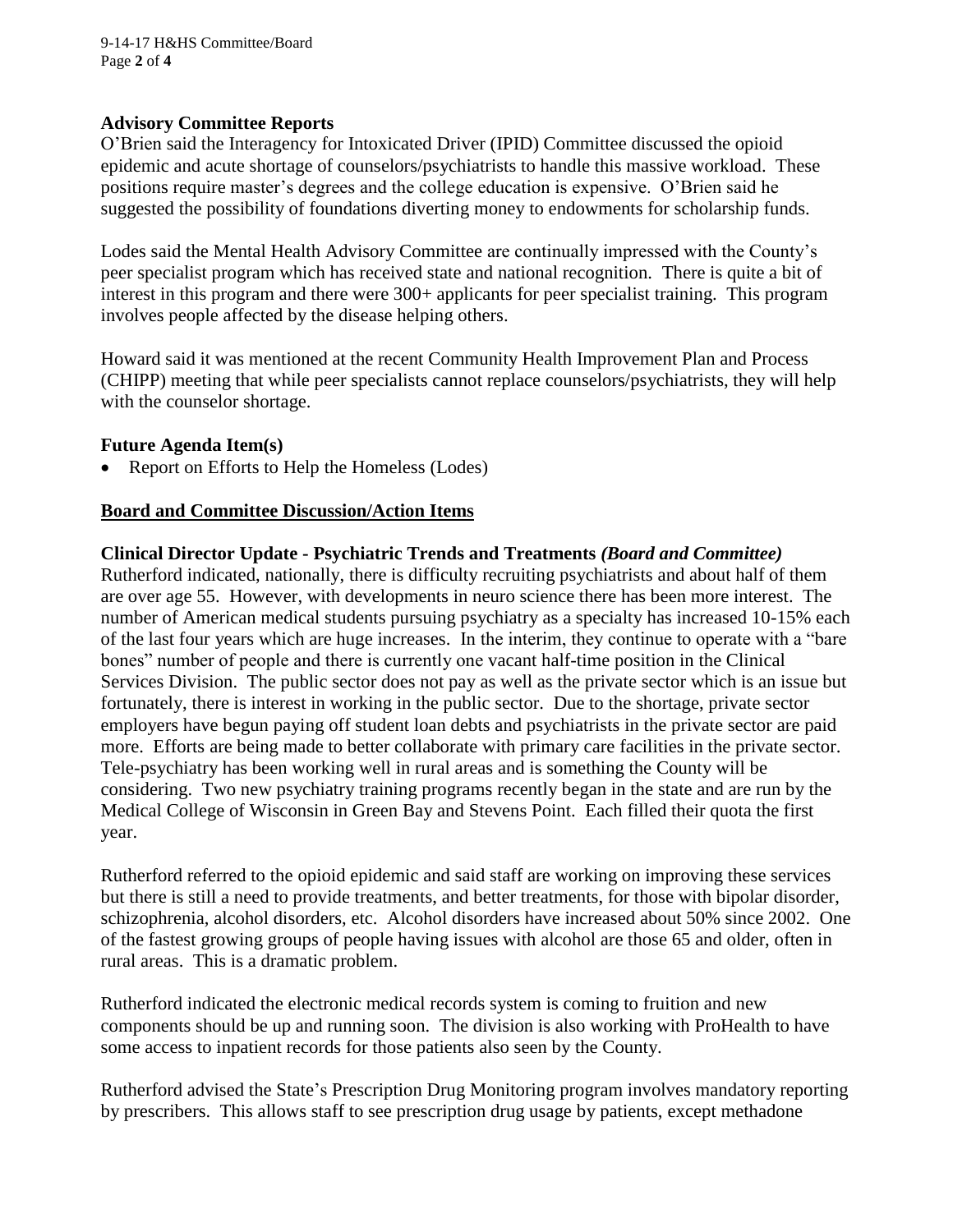9-14-17 H&HS Committee/Board Page **2** of **4**

#### **Advisory Committee Reports**

O'Brien said the Interagency for Intoxicated Driver (IPID) Committee discussed the opioid epidemic and acute shortage of counselors/psychiatrists to handle this massive workload. These positions require master's degrees and the college education is expensive. O'Brien said he suggested the possibility of foundations diverting money to endowments for scholarship funds.

Lodes said the Mental Health Advisory Committee are continually impressed with the County's peer specialist program which has received state and national recognition. There is quite a bit of interest in this program and there were 300+ applicants for peer specialist training. This program involves people affected by the disease helping others.

Howard said it was mentioned at the recent Community Health Improvement Plan and Process (CHIPP) meeting that while peer specialists cannot replace counselors/psychiatrists, they will help with the counselor shortage.

#### **Future Agenda Item(s)**

• Report on Efforts to Help the Homeless (Lodes)

## **Board and Committee Discussion/Action Items**

### **Clinical Director Update - Psychiatric Trends and Treatments** *(Board and Committee)*

Rutherford indicated, nationally, there is difficulty recruiting psychiatrists and about half of them are over age 55. However, with developments in neuro science there has been more interest. The number of American medical students pursuing psychiatry as a specialty has increased 10-15% each of the last four years which are huge increases. In the interim, they continue to operate with a "bare bones" number of people and there is currently one vacant half-time position in the Clinical Services Division. The public sector does not pay as well as the private sector which is an issue but fortunately, there is interest in working in the public sector. Due to the shortage, private sector employers have begun paying off student loan debts and psychiatrists in the private sector are paid more. Efforts are being made to better collaborate with primary care facilities in the private sector. Tele-psychiatry has been working well in rural areas and is something the County will be considering. Two new psychiatry training programs recently began in the state and are run by the Medical College of Wisconsin in Green Bay and Stevens Point. Each filled their quota the first year.

Rutherford referred to the opioid epidemic and said staff are working on improving these services but there is still a need to provide treatments, and better treatments, for those with bipolar disorder, schizophrenia, alcohol disorders, etc. Alcohol disorders have increased about 50% since 2002. One of the fastest growing groups of people having issues with alcohol are those 65 and older, often in rural areas. This is a dramatic problem.

Rutherford indicated the electronic medical records system is coming to fruition and new components should be up and running soon. The division is also working with ProHealth to have some access to inpatient records for those patients also seen by the County.

Rutherford advised the State's Prescription Drug Monitoring program involves mandatory reporting by prescribers. This allows staff to see prescription drug usage by patients, except methadone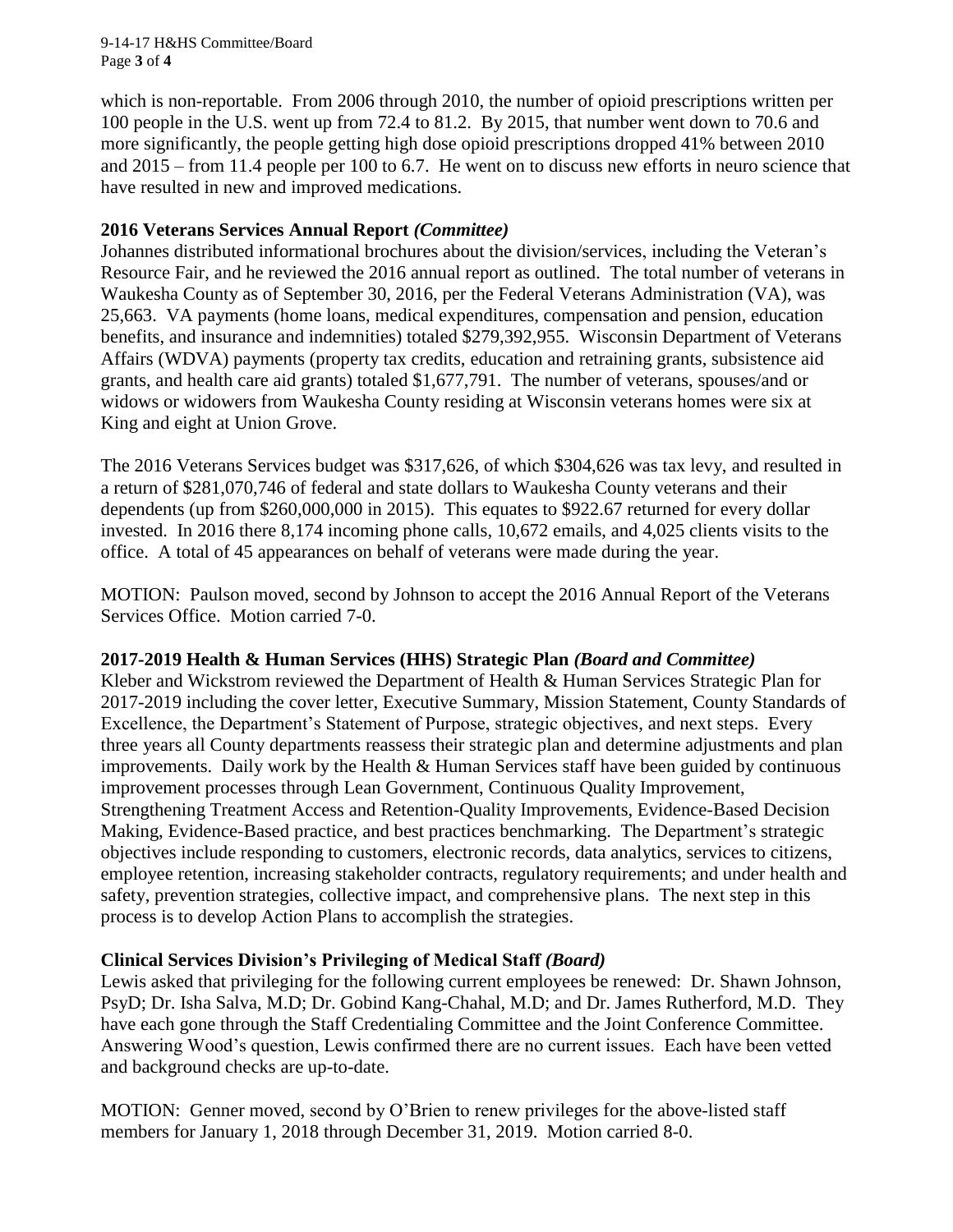9-14-17 H&HS Committee/Board Page **3** of **4**

which is non-reportable. From 2006 through 2010, the number of opioid prescriptions written per 100 people in the U.S. went up from 72.4 to 81.2. By 2015, that number went down to 70.6 and more significantly, the people getting high dose opioid prescriptions dropped 41% between 2010 and 2015 – from 11.4 people per 100 to 6.7. He went on to discuss new efforts in neuro science that have resulted in new and improved medications.

### **2016 Veterans Services Annual Report** *(Committee)*

Johannes distributed informational brochures about the division/services, including the Veteran's Resource Fair, and he reviewed the 2016 annual report as outlined. The total number of veterans in Waukesha County as of September 30, 2016, per the Federal Veterans Administration (VA), was 25,663. VA payments (home loans, medical expenditures, compensation and pension, education benefits, and insurance and indemnities) totaled \$279,392,955. Wisconsin Department of Veterans Affairs (WDVA) payments (property tax credits, education and retraining grants, subsistence aid grants, and health care aid grants) totaled \$1,677,791. The number of veterans, spouses/and or widows or widowers from Waukesha County residing at Wisconsin veterans homes were six at King and eight at Union Grove.

The 2016 Veterans Services budget was \$317,626, of which \$304,626 was tax levy, and resulted in a return of \$281,070,746 of federal and state dollars to Waukesha County veterans and their dependents (up from \$260,000,000 in 2015). This equates to \$922.67 returned for every dollar invested. In 2016 there 8,174 incoming phone calls, 10,672 emails, and 4,025 clients visits to the office. A total of 45 appearances on behalf of veterans were made during the year.

MOTION: Paulson moved, second by Johnson to accept the 2016 Annual Report of the Veterans Services Office. Motion carried 7-0.

## **2017-2019 Health & Human Services (HHS) Strategic Plan** *(Board and Committee)*

Kleber and Wickstrom reviewed the Department of Health & Human Services Strategic Plan for 2017-2019 including the cover letter, Executive Summary, Mission Statement, County Standards of Excellence, the Department's Statement of Purpose, strategic objectives, and next steps. Every three years all County departments reassess their strategic plan and determine adjustments and plan improvements. Daily work by the Health  $&$  Human Services staff have been guided by continuous improvement processes through Lean Government, Continuous Quality Improvement, Strengthening Treatment Access and Retention-Quality Improvements, Evidence-Based Decision Making, Evidence-Based practice, and best practices benchmarking. The Department's strategic objectives include responding to customers, electronic records, data analytics, services to citizens, employee retention, increasing stakeholder contracts, regulatory requirements; and under health and safety, prevention strategies, collective impact, and comprehensive plans. The next step in this process is to develop Action Plans to accomplish the strategies.

## **Clinical Services Division's Privileging of Medical Staff** *(Board)*

Lewis asked that privileging for the following current employees be renewed: Dr. Shawn Johnson, PsyD; Dr. Isha Salva, M.D; Dr. Gobind Kang-Chahal, M.D; and Dr. James Rutherford, M.D. They have each gone through the Staff Credentialing Committee and the Joint Conference Committee. Answering Wood's question, Lewis confirmed there are no current issues. Each have been vetted and background checks are up-to-date.

MOTION: Genner moved, second by O'Brien to renew privileges for the above-listed staff members for January 1, 2018 through December 31, 2019. Motion carried 8-0.